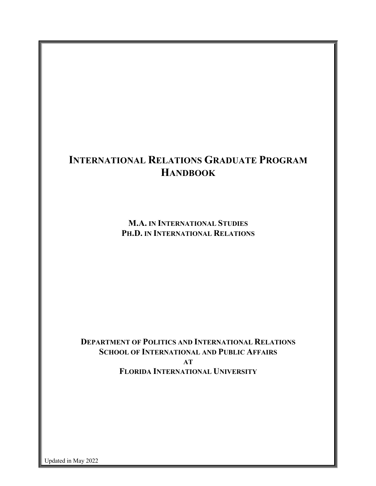# **INTERNATIONAL RELATIONS GRADUATE PROGRAM HANDBOOK**

**M.A. IN INTERNATIONAL STUDIES PH.D. IN INTERNATIONAL RELATIONS**

**DEPARTMENT OF POLITICS AND INTERNATIONAL RELATIONS SCHOOL OF INTERNATIONAL AND PUBLIC AFFAIRS AT FLORIDA INTERNATIONAL UNIVERSITY**

Updated in May 2022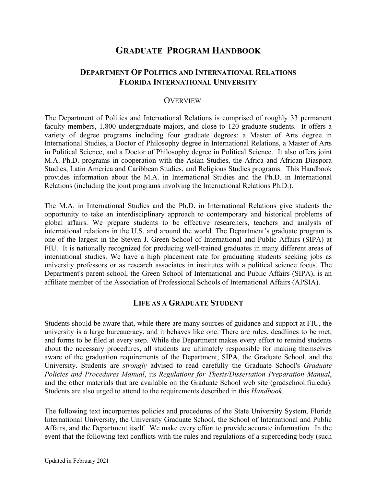# **GRADUATE PROGRAM HANDBOOK**

# **DEPARTMENT OF POLITICS AND INTERNATIONAL RELATIONS FLORIDA INTERNATIONAL UNIVERSITY**

#### **OVERVIEW**

The Department of Politics and International Relations is comprised of roughly 33 permanent faculty members, 1,800 undergraduate majors, and close to 120 graduate students. It offers a variety of degree programs including four graduate degrees: a Master of Arts degree in International Studies, a Doctor of Philosophy degree in International Relations, a Master of Arts in Political Science, and a Doctor of Philosophy degree in Political Science. It also offers joint M.A.-Ph.D. programs in cooperation with the Asian Studies, the Africa and African Diaspora Studies, Latin America and Caribbean Studies, and Religious Studies programs. This Handbook provides information about the M.A. in International Studies and the Ph.D. in International Relations (including the joint programs involving the International Relations Ph.D.).

The M.A. in International Studies and the Ph.D. in International Relations give students the opportunity to take an interdisciplinary approach to contemporary and historical problems of global affairs. We prepare students to be effective researchers, teachers and analysts of international relations in the U.S. and around the world. The Department's graduate program is one of the largest in the Steven J. Green School of International and Public Affairs (SIPA) at FIU. It is nationally recognized for producing well-trained graduates in many different areas of international studies. We have a high placement rate for graduating students seeking jobs as university professors or as research associates in institutes with a political science focus. The Department's parent school, the Green School of International and Public Affairs (SIPA), is an affiliate member of the Association of Professional Schools of International Affairs (APSIA).

#### **LIFE AS A GRADUATE STUDENT**

Students should be aware that, while there are many sources of guidance and support at FIU, the university is a large bureaucracy, and it behaves like one. There are rules, deadlines to be met, and forms to be filed at every step. While the Department makes every effort to remind students about the necessary procedures, all students are ultimately responsible for making themselves aware of the graduation requirements of the Department, SIPA, the Graduate School, and the University. Students are *strongly* advised to read carefully the Graduate School's *Graduate Policies and Procedures Manual*, its *Regulations for Thesis/Dissertation Preparation Manual*, and the other materials that are available on the Graduate School web site (gradschool.fiu.edu). Students are also urged to attend to the requirements described in this *Handbook*.

The following text incorporates policies and procedures of the State University System, Florida International University, the University Graduate School, the School of International and Public Affairs, and the Department itself. We make every effort to provide accurate information. In the event that the following text conflicts with the rules and regulations of a superceding body (such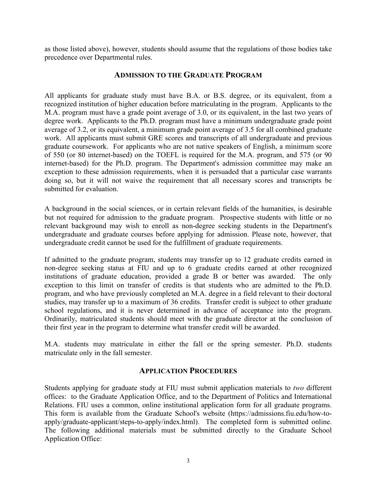as those listed above), however, students should assume that the regulations of those bodies take precedence over Departmental rules.

#### **ADMISSION TO THE GRADUATE PROGRAM**

All applicants for graduate study must have B.A. or B.S. degree, or its equivalent, from a recognized institution of higher education before matriculating in the program. Applicants to the M.A. program must have a grade point average of 3.0, or its equivalent, in the last two years of degree work. Applicants to the Ph.D. program must have a minimum undergraduate grade point average of 3.2, or its equivalent, a minimum grade point average of 3.5 for all combined graduate work. All applicants must submit GRE scores and transcripts of all undergraduate and previous graduate coursework. For applicants who are not native speakers of English, a minimum score of 550 (or 80 internet-based) on the TOEFL is required for the M.A. program, and 575 (or 90 internet-based) for the Ph.D. program. The Department's admission committee may make an exception to these admission requirements, when it is persuaded that a particular case warrants doing so, but it will not waive the requirement that all necessary scores and transcripts be submitted for evaluation.

A background in the social sciences, or in certain relevant fields of the humanities, is desirable but not required for admission to the graduate program. Prospective students with little or no relevant background may wish to enroll as non-degree seeking students in the Department's undergraduate and graduate courses before applying for admission. Please note, however, that undergraduate credit cannot be used for the fulfillment of graduate requirements.

If admitted to the graduate program, students may transfer up to 12 graduate credits earned in non-degree seeking status at FIU and up to 6 graduate credits earned at other recognized institutions of graduate education, provided a grade B or better was awarded. The only exception to this limit on transfer of credits is that students who are admitted to the Ph.D. program, and who have previously completed an M.A. degree in a field relevant to their doctoral studies, may transfer up to a maximum of 36 credits. Transfer credit is subject to other graduate school regulations, and it is never determined in advance of acceptance into the program. Ordinarily, matriculated students should meet with the graduate director at the conclusion of their first year in the program to determine what transfer credit will be awarded.

M.A. students may matriculate in either the fall or the spring semester. Ph.D. students matriculate only in the fall semester.

## **APPLICATION PROCEDURES**

Students applying for graduate study at FIU must submit application materials to *two* different offices: to the Graduate Application Office, and to the Department of Politics and International Relations. FIU uses a common, online institutional application form for all graduate programs. This form is available from the Graduate School's website (https://admissions.fiu.edu/how-toapply/graduate-applicant/steps-to-apply/index.html). The completed form is submitted online. The following additional materials must be submitted directly to the Graduate School Application Office: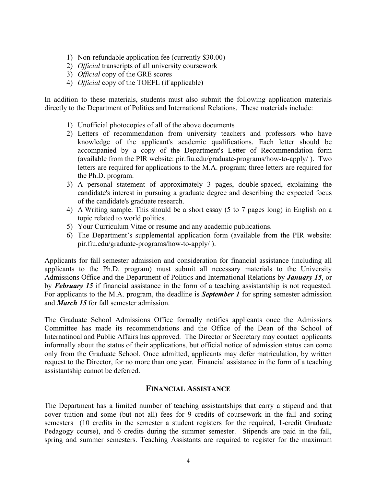- 1) Non-refundable application fee (currently \$30.00)
- 2) *Official* transcripts of all university coursework
- 3) *Official* copy of the GRE scores
- 4) *Official* copy of the TOEFL (if applicable)

In addition to these materials, students must also submit the following application materials directly to the Department of Politics and International Relations. These materials include:

- 1) Unofficial photocopies of all of the above documents
- 2) Letters of recommendation from university teachers and professors who have knowledge of the applicant's academic qualifications. Each letter should be accompanied by a copy of the Department's Letter of Recommendation form (available from the PIR website: pir.fiu.edu/graduate-programs/how-to-apply/ ). Two letters are required for applications to the M.A. program; three letters are required for the Ph.D. program.
- 3) A personal statement of approximately 3 pages, double-spaced, explaining the candidate's interest in pursuing a graduate degree and describing the expected focus of the candidate's graduate research.
- 4) A Writing sample. This should be a short essay (5 to 7 pages long) in English on a topic related to world politics.
- 5) Your Curriculum Vitae or resume and any academic publications.
- 6) The Department's supplemental application form (available from the PIR website: pir.fiu.edu/graduate-programs/how-to-apply/ ).

Applicants for fall semester admission and consideration for financial assistance (including all applicants to the Ph.D. program) must submit all necessary materials to the University Admissions Office and the Department of Politics and International Relations by *January 15*, or by *February 15* if financial assistance in the form of a teaching assistantship is not requested. For applicants to the M.A. program, the deadline is *September 1* for spring semester admission and *March 15* for fall semester admission.

The Graduate School Admissions Office formally notifies applicants once the Admissions Committee has made its recommendations and the Office of the Dean of the School of Internatinoal and Public Affairs has approved. The Director or Secretary may contact applicants informally about the status of their applications, but official notice of admission status can come only from the Graduate School. Once admitted, applicants may defer matriculation, by written request to the Director, for no more than one year. Financial assistance in the form of a teaching assistantship cannot be deferred.

#### **FINANCIAL ASSISTANCE**

The Department has a limited number of teaching assistantships that carry a stipend and that cover tuition and some (but not all) fees for 9 credits of coursework in the fall and spring semesters (10 credits in the semester a student registers for the required, 1-credit Graduate Pedagogy course), and 6 credits during the summer semester. Stipends are paid in the fall, spring and summer semesters. Teaching Assistants are required to register for the maximum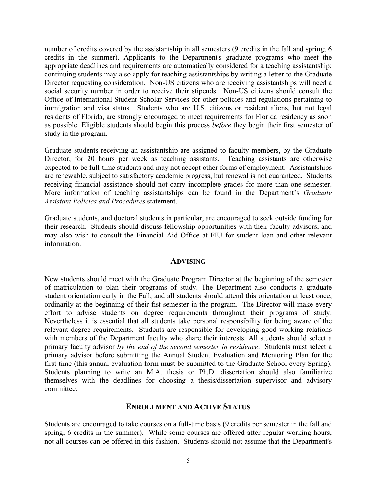number of credits covered by the assistantship in all semesters (9 credits in the fall and spring; 6 credits in the summer). Applicants to the Department's graduate programs who meet the appropriate deadlines and requirements are automatically considered for a teaching assistantship; continuing students may also apply for teaching assistantships by writing a letter to the Graduate Director requesting consideration. Non-US citizens who are receiving assistantships will need a social security number in order to receive their stipends. Non-US citizens should consult the Office of International Student Scholar Services for other policies and regulations pertaining to immigration and visa status. Students who are U.S. citizens or resident aliens, but not legal residents of Florida, are strongly encouraged to meet requirements for Florida residency as soon as possible. Eligible students should begin this process *before* they begin their first semester of study in the program.

Graduate students receiving an assistantship are assigned to faculty members, by the Graduate Director, for 20 hours per week as teaching assistants. Teaching assistants are otherwise expected to be full-time students and may not accept other forms of employment. Assistantships are renewable, subject to satisfactory academic progress, but renewal is not guaranteed. Students receiving financial assistance should not carry incomplete grades for more than one semester. More information of teaching assistantships can be found in the Department's *Graduate Assistant Policies and Procedures* statement.

Graduate students, and doctoral students in particular, are encouraged to seek outside funding for their research. Students should discuss fellowship opportunities with their faculty advisors, and may also wish to consult the Financial Aid Office at FIU for student loan and other relevant information.

#### **ADVISING**

New students should meet with the Graduate Program Director at the beginning of the semester of matriculation to plan their programs of study. The Department also conducts a graduate student orientation early in the Fall, and all students should attend this orientation at least once, ordinarily at the beginning of their fist semester in the program. The Director will make every effort to advise students on degree requirements throughout their programs of study. Nevertheless it is essential that all students take personal responsibility for being aware of the relevant degree requirements. Students are responsible for developing good working relations with members of the Department faculty who share their interests. All students should select a primary faculty advisor *by the end of the second semester in residence*. Students must select a primary advisor before submitting the Annual Student Evaluation and Mentoring Plan for the first time (this annual evaluation form must be submitted to the Graduate School every Spring). Students planning to write an M.A. thesis or Ph.D. dissertation should also familiarize themselves with the deadlines for choosing a thesis/dissertation supervisor and advisory committee.

#### **ENROLLMENT AND ACTIVE STATUS**

Students are encouraged to take courses on a full-time basis (9 credits per semester in the fall and spring; 6 credits in the summer). While some courses are offered after regular working hours, not all courses can be offered in this fashion. Students should not assume that the Department's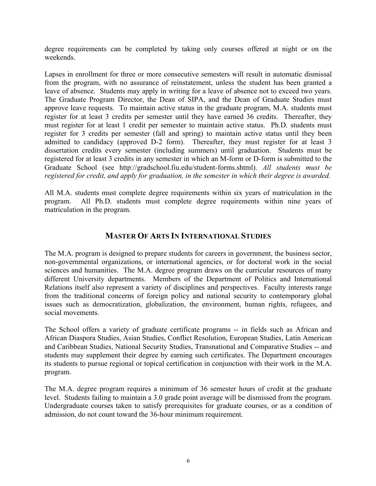degree requirements can be completed by taking only courses offered at night or on the weekends.

Lapses in enrollment for three or more consecutive semesters will result in automatic dismissal from the program, with no assurance of reinstatement, unless the student has been granted a leave of absence. Students may apply in writing for a leave of absence not to exceed two years. The Graduate Program Director, the Dean of SIPA, and the Dean of Graduate Studies must approve leave requests. To maintain active status in the graduate program, M.A. students must register for at least 3 credits per semester until they have earned 36 credits. Thereafter, they must register for at least 1 credit per semester to maintain active status. Ph.D. students must register for 3 credits per semester (fall and spring) to maintain active status until they been admitted to candidacy (approved D-2 form). Thereafter, they must register for at least 3 dissertation credits every semester (including summers) until graduation. Students must be registered for at least 3 credits in any semester in which an M-form or D-form is submitted to the Graduate School (see http://gradschool.fiu.edu/student-forms.shtml). *All students must be registered for credit, and apply for graduation, in the semester in which their degree is awarded.*

All M.A. students must complete degree requirements within six years of matriculation in the program. All Ph.D. students must complete degree requirements within nine years of matriculation in the program.

## **MASTER OF ARTS IN INTERNATIONAL STUDIES**

The M.A. program is designed to prepare students for careers in government, the business sector, non-governmental organizations, or international agencies, or for doctoral work in the social sciences and humanities. The M.A. degree program draws on the curricular resources of many different University departments. Members of the Department of Politics and International Relations itself also represent a variety of disciplines and perspectives. Faculty interests range from the traditional concerns of foreign policy and national security to contemporary global issues such as democratization, globalization, the environment, human rights, refugees, and social movements.

The School offers a variety of graduate certificate programs -- in fields such as African and African Diaspora Studies, Asian Studies, Conflict Resolution, European Studies, Latin American and Caribbean Studies, National Security Studies, Transnational and Comparative Studies -- and students may supplement their degree by earning such certificates. The Department encourages its students to pursue regional or topical certification in conjunction with their work in the M.A. program.

The M.A. degree program requires a minimum of 36 semester hours of credit at the graduate level. Students failing to maintain a 3.0 grade point average will be dismissed from the program. Undergraduate courses taken to satisfy prerequisites for graduate courses, or as a condition of admission, do not count toward the 36-hour minimum requirement.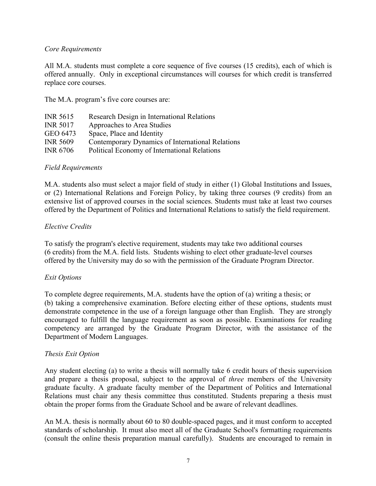#### *Core Requirements*

All M.A. students must complete a core sequence of five courses (15 credits), each of which is offered annually. Only in exceptional circumstances will courses for which credit is transferred replace core courses.

The M.A. program's five core courses are:

| <b>INR 5615</b> | Research Design in International Relations       |
|-----------------|--------------------------------------------------|
| <b>INR 5017</b> | Approaches to Area Studies                       |
| GEO 6473        | Space, Place and Identity                        |
| <b>INR 5609</b> | Contemporary Dynamics of International Relations |
| <b>INR 6706</b> | Political Economy of International Relations     |
|                 |                                                  |

#### *Field Requirements*

M.A. students also must select a major field of study in either (1) Global Institutions and Issues, or (2) International Relations and Foreign Policy, by taking three courses (9 credits) from an extensive list of approved courses in the social sciences. Students must take at least two courses offered by the Department of Politics and International Relations to satisfy the field requirement.

#### *Elective Credits*

To satisfy the program's elective requirement, students may take two additional courses (6 credits) from the M.A. field lists. Students wishing to elect other graduate-level courses offered by the University may do so with the permission of the Graduate Program Director.

## *Exit Options*

To complete degree requirements, M.A. students have the option of (a) writing a thesis; or (b) taking a comprehensive examination. Before electing either of these options, students must demonstrate competence in the use of a foreign language other than English. They are strongly encouraged to fulfill the language requirement as soon as possible. Examinations for reading competency are arranged by the Graduate Program Director, with the assistance of the Department of Modern Languages.

## *Thesis Exit Option*

Any student electing (a) to write a thesis will normally take 6 credit hours of thesis supervision and prepare a thesis proposal, subject to the approval of *three* members of the University graduate faculty. A graduate faculty member of the Department of Politics and International Relations must chair any thesis committee thus constituted. Students preparing a thesis must obtain the proper forms from the Graduate School and be aware of relevant deadlines.

An M.A. thesis is normally about 60 to 80 double-spaced pages, and it must conform to accepted standards of scholarship. It must also meet all of the Graduate School's formatting requirements (consult the online thesis preparation manual carefully). Students are encouraged to remain in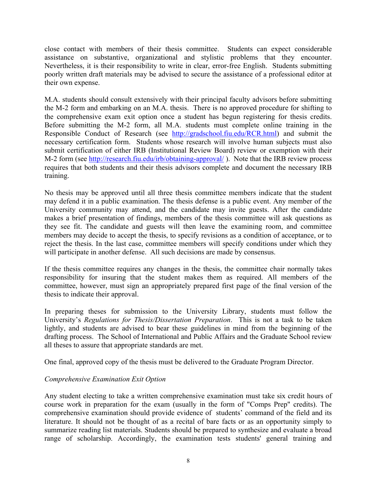close contact with members of their thesis committee. Students can expect considerable assistance on substantive, organizational and stylistic problems that they encounter. Nevertheless, it is their responsibility to write in clear, error-free English. Students submitting poorly written draft materials may be advised to secure the assistance of a professional editor at their own expense.

M.A. students should consult extensively with their principal faculty advisors before submitting the M-2 form and embarking on an M.A. thesis. There is no approved procedure for shifting to the comprehensive exam exit option once a student has begun registering for thesis credits. Before submitting the M-2 form, all M.A. students must complete online training in the Responsible Conduct of Research (see http://gradschool.fiu.edu/RCR.html) and submit the necessary certification form. Students whose research will involve human subjects must also submit certification of either IRB (Institutional Review Board) review or exemption with their M-2 form (see http://research.fiu.edu/irb/obtaining-approval/ ). Note that the IRB review process requires that both students and their thesis advisors complete and document the necessary IRB training.

No thesis may be approved until all three thesis committee members indicate that the student may defend it in a public examination. The thesis defense is a public event. Any member of the University community may attend, and the candidate may invite guests. After the candidate makes a brief presentation of findings, members of the thesis committee will ask questions as they see fit. The candidate and guests will then leave the examining room, and committee members may decide to accept the thesis, to specify revisions as a condition of acceptance, or to reject the thesis. In the last case, committee members will specify conditions under which they will participate in another defense. All such decisions are made by consensus.

If the thesis committee requires any changes in the thesis, the committee chair normally takes responsibility for insuring that the student makes them as required. All members of the committee, however, must sign an appropriately prepared first page of the final version of the thesis to indicate their approval.

In preparing theses for submission to the University Library, students must follow the University's *Regulations for Thesis/Dissertation Preparation*. This is not a task to be taken lightly, and students are advised to bear these guidelines in mind from the beginning of the drafting process. The School of International and Public Affairs and the Graduate School review all theses to assure that appropriate standards are met.

One final, approved copy of the thesis must be delivered to the Graduate Program Director.

## *Comprehensive Examination Exit Option*

Any student electing to take a written comprehensive examination must take six credit hours of course work in preparation for the exam (usually in the form of "Comps Prep" credits). The comprehensive examination should provide evidence of students' command of the field and its literature. It should not be thought of as a recital of bare facts or as an opportunity simply to summarize reading list materials. Students should be prepared to synthesize and evaluate a broad range of scholarship. Accordingly, the examination tests students' general training and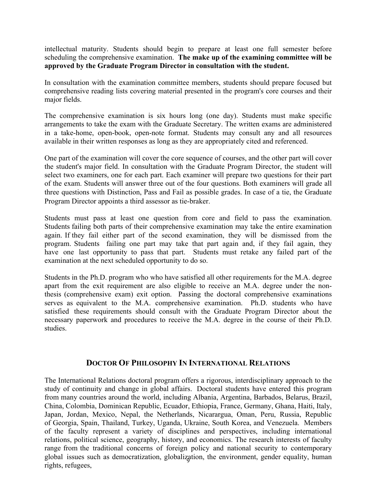intellectual maturity. Students should begin to prepare at least one full semester before scheduling the comprehensive examination. **The make up of the examining committee will be approved by the Graduate Program Director in consultation with the student.**

In consultation with the examination committee members, students should prepare focused but comprehensive reading lists covering material presented in the program's core courses and their major fields.

The comprehensive examination is six hours long (one day). Students must make specific arrangements to take the exam with the Graduate Secretary. The written exams are administered in a take-home, open-book, open-note format. Students may consult any and all resources available in their written responses as long as they are appropriately cited and referenced.

One part of the examination will cover the core sequence of courses, and the other part will cover the student's major field. In consultation with the Graduate Program Director, the student will select two examiners, one for each part. Each examiner will prepare two questions for their part of the exam. Students will answer three out of the four questions. Both examiners will grade all three questions with Distinction, Pass and Fail as possible grades. In case of a tie, the Graduate Program Director appoints a third assessor as tie-braker.

Students must pass at least one question from core and field to pass the examination. Students failing both parts of their comprehensive examination may take the entire examination again. If they fail either part of the second examination, they will be dismissed from the program. Students failing one part may take that part again and, if they fail again, they have one last opportunity to pass that part. Students must retake any failed part of the examination at the next scheduled opportunity to do so.

Students in the Ph.D. program who who have satisfied all other requirements for the M.A. degree apart from the exit requirement are also eligible to receive an M.A. degree under the nonthesis (comprehensive exam) exit option. Passing the doctoral comprehensive examinations serves as equivalent to the M.A. comprehensive examination. Ph.D. students who have satisfied these requirements should consult with the Graduate Program Director about the necessary paperwork and procedures to receive the M.A. degree in the course of their Ph.D. studies.

## **DOCTOR OF PHILOSOPHY IN INTERNATIONAL RELATIONS**

global issues such as democratization, globalization, the environment, gender equality, human The International Relations doctoral program offers a rigorous, interdisciplinary approach to the study of continuity and change in global affairs. Doctoral students have entered this program from many countries around the world, including Albania, Argentina, Barbados, Belarus, Brazil, China, Colombia, Dominican Republic, Ecuador, Ethiopia, France, Germany, Ghana, Haiti, Italy, Japan, Jordan, Mexico, Nepal, the Netherlands, Nicarargua, Oman, Peru, Russia, Republic of Georgia, Spain, Thailand, Turkey, Uganda, Ukraine, South Korea, and Venezuela. Members of the faculty represent a variety of disciplines and perspectives, including international relations, political science, geography, history, and economics. The research interests of faculty range from the traditional concerns of foreign policy and national security to contemporary rights, refugees,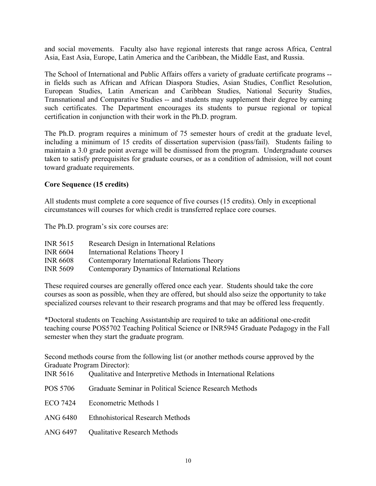and social movements. Faculty also have regional interests that range across Africa, Central Asia, East Asia, Europe, Latin America and the Caribbean, the Middle East, and Russia.

The School of International and Public Affairs offers a variety of graduate certificate programs - in fields such as African and African Diaspora Studies, Asian Studies, Conflict Resolution, European Studies, Latin American and Caribbean Studies, National Security Studies, Transnational and Comparative Studies -- and students may supplement their degree by earning such certificates. The Department encourages its students to pursue regional or topical certification in conjunction with their work in the Ph.D. program.

The Ph.D. program requires a minimum of 75 semester hours of credit at the graduate level, including a minimum of 15 credits of dissertation supervision (pass/fail). Students failing to maintain a 3.0 grade point average will be dismissed from the program. Undergraduate courses taken to satisfy prerequisites for graduate courses, or as a condition of admission, will not count toward graduate requirements.

#### **Core Sequence (15 credits)**

All students must complete a core sequence of five courses (15 credits). Only in exceptional circumstances will courses for which credit is transferred replace core courses.

The Ph.D. program's six core courses are:

| <b>INR 5615</b> | Research Design in International Relations       |
|-----------------|--------------------------------------------------|
| <b>INR 6604</b> | International Relations Theory I                 |
| <b>INR 6608</b> | Contemporary International Relations Theory      |
| <b>INR 5609</b> | Contemporary Dynamics of International Relations |

These required courses are generally offered once each year. Students should take the core courses as soon as possible, when they are offered, but should also seize the opportunity to take specialized courses relevant to their research programs and that may be offered less frequently.

\*Doctoral students on Teaching Assistantship are required to take an additional one-credit teaching course POS5702 Teaching Political Science or INR5945 Graduate Pedagogy in the Fall semester when they start the graduate program.

Second methods course from the following list (or another methods course approved by the Graduate Program Director):

- INR 5616 Qualitative and Interpretive Methods in International Relations
- POS 5706 Graduate Seminar in Political Science Research Methods
- ECO 7424 Econometric Methods 1
- ANG 6480 Ethnohistorical Research Methods
- ANG 6497 Oualitative Research Methods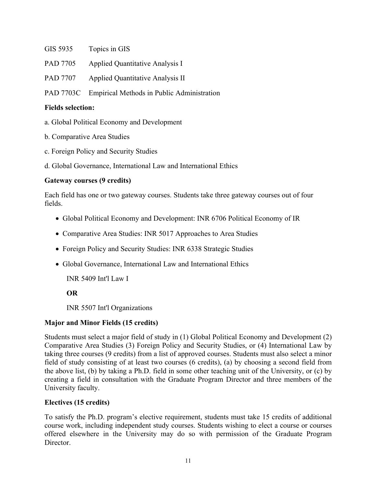- GIS 5935 Topics in GIS
- PAD 7705 Applied Quantitative Analysis I
- PAD 7707 Applied Quantitative Analysis II

PAD 7703C Empirical Methods in Public Administration

#### **Fields selection:**

- a. Global Political Economy and Development
- b. Comparative Area Studies
- c. Foreign Policy and Security Studies
- d. Global Governance, International Law and International Ethics

## **Gateway courses (9 credits)**

Each field has one or two gateway courses. Students take three gateway courses out of four fields.

- Global Political Economy and Development: INR 6706 Political Economy of IR
- Comparative Area Studies: INR 5017 Approaches to Area Studies
- Foreign Policy and Security Studies: INR 6338 Strategic Studies
- Global Governance, International Law and International Ethics

INR 5409 Int'l Law I

**OR** 

INR 5507 Int'l Organizations

# **Major and Minor Fields (15 credits)**

Students must select a major field of study in (1) Global Political Economy and Development (2) Comparative Area Studies (3) Foreign Policy and Security Studies, or (4) International Law by taking three courses (9 credits) from a list of approved courses. Students must also select a minor field of study consisting of at least two courses (6 credits), (a) by choosing a second field from the above list, (b) by taking a Ph.D. field in some other teaching unit of the University, or (c) by creating a field in consultation with the Graduate Program Director and three members of the University faculty.

# **Electives (15 credits)**

To satisfy the Ph.D. program's elective requirement, students must take 15 credits of additional course work, including independent study courses. Students wishing to elect a course or courses offered elsewhere in the University may do so with permission of the Graduate Program Director.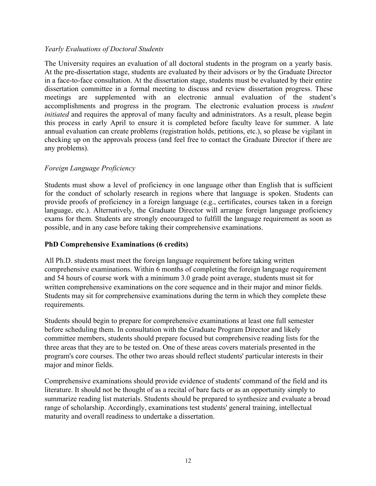#### *Yearly Evaluations of Doctoral Students*

The University requires an evaluation of all doctoral students in the program on a yearly basis. At the pre-dissertation stage, students are evaluated by their advisors or by the Graduate Director in a face-to-face consultation. At the dissertation stage, students must be evaluated by their entire dissertation committee in a formal meeting to discuss and review dissertation progress. These meetings are supplemented with an electronic annual evaluation of the student's accomplishments and progress in the program. The electronic evaluation process is *student initiated* and requires the approval of many faculty and administrators. As a result, please begin this process in early April to ensure it is completed before faculty leave for summer. A late annual evaluation can create problems (registration holds, petitions, etc.), so please be vigilant in checking up on the approvals process (and feel free to contact the Graduate Director if there are any problems).

## *Foreign Language Proficiency*

Students must show a level of proficiency in one language other than English that is sufficient for the conduct of scholarly research in regions where that language is spoken. Students can provide proofs of proficiency in a foreign language (e.g., certificates, courses taken in a foreign language, etc.). Alternatively, the Graduate Director will arrange foreign language proficiency exams for them. Students are strongly encouraged to fulfill the language requirement as soon as possible, and in any case before taking their comprehensive examinations.

#### **PhD Comprehensive Examinations (6 credits)**

All Ph.D. students must meet the foreign language requirement before taking written comprehensive examinations. Within 6 months of completing the foreign language requirement and 54 hours of course work with a minimum 3.0 grade point average, students must sit for written comprehensive examinations on the core sequence and in their major and minor fields. Students may sit for comprehensive examinations during the term in which they complete these requirements.

Students should begin to prepare for comprehensive examinations at least one full semester before scheduling them. In consultation with the Graduate Program Director and likely committee members, students should prepare focused but comprehensive reading lists for the three areas that they are to be tested on. One of these areas covers materials presented in the program's core courses. The other two areas should reflect students' particular interests in their major and minor fields.

Comprehensive examinations should provide evidence of students' command of the field and its literature. It should not be thought of as a recital of bare facts or as an opportunity simply to summarize reading list materials. Students should be prepared to synthesize and evaluate a broad range of scholarship. Accordingly, examinations test students' general training, intellectual maturity and overall readiness to undertake a dissertation.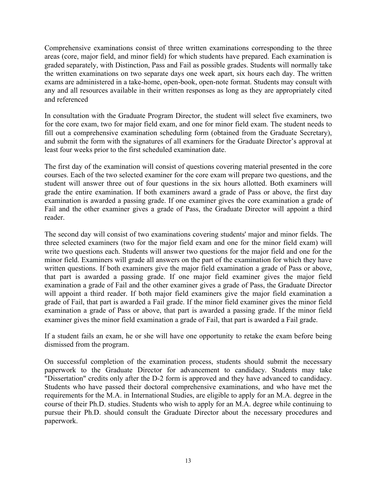Comprehensive examinations consist of three written examinations corresponding to the three areas (core, major field, and minor field) for which students have prepared. Each examination is graded separately, with Distinction, Pass and Fail as possible grades. Students will normally take the written examinations on two separate days one week apart, six hours each day. The written exams are administered in a take-home, open-book, open-note format. Students may consult with any and all resources available in their written responses as long as they are appropriately cited and referenced

In consultation with the Graduate Program Director, the student will select five examiners, two for the core exam, two for major field exam, and one for minor field exam. The student needs to fill out a comprehensive examination scheduling form (obtained from the Graduate Secretary), and submit the form with the signatures of all examiners for the Graduate Director's approval at least four weeks prior to the first scheduled examination date.

The first day of the examination will consist of questions covering material presented in the core courses. Each of the two selected examiner for the core exam will prepare two questions, and the student will answer three out of four questions in the six hours allotted. Both examiners will grade the entire examination. If both examiners award a grade of Pass or above, the first day examination is awarded a passing grade. If one examiner gives the core examination a grade of Fail and the other examiner gives a grade of Pass, the Graduate Director will appoint a third reader.

The second day will consist of two examinations covering students' major and minor fields. The three selected examiners (two for the major field exam and one for the minor field exam) will write two questions each. Students will answer two questions for the major field and one for the minor field. Examiners will grade all answers on the part of the examination for which they have written questions. If both examiners give the major field examination a grade of Pass or above, that part is awarded a passing grade. If one major field examiner gives the major field examination a grade of Fail and the other examiner gives a grade of Pass, the Graduate Director will appoint a third reader. If both major field examiners give the major field examination a grade of Fail, that part is awarded a Fail grade. If the minor field examiner gives the minor field examination a grade of Pass or above, that part is awarded a passing grade. If the minor field examiner gives the minor field examination a grade of Fail, that part is awarded a Fail grade.

If a student fails an exam, he or she will have one opportunity to retake the exam before being dismissed from the program.

On successful completion of the examination process, students should submit the necessary paperwork to the Graduate Director for advancement to candidacy. Students may take "Dissertation" credits only after the D-2 form is approved and they have advanced to candidacy. Students who have passed their doctoral comprehensive examinations, and who have met the requirements for the M.A. in International Studies, are eligible to apply for an M.A. degree in the course of their Ph.D. studies. Students who wish to apply for an M.A. degree while continuing to pursue their Ph.D. should consult the Graduate Director about the necessary procedures and paperwork.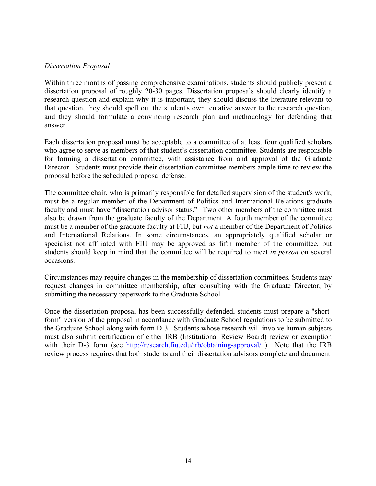#### *Dissertation Proposal*

Within three months of passing comprehensive examinations, students should publicly present a dissertation proposal of roughly 20-30 pages. Dissertation proposals should clearly identify a research question and explain why it is important, they should discuss the literature relevant to that question, they should spell out the student's own tentative answer to the research question, and they should formulate a convincing research plan and methodology for defending that answer.

Each dissertation proposal must be acceptable to a committee of at least four qualified scholars who agree to serve as members of that student's dissertation committee. Students are responsible for forming a dissertation committee, with assistance from and approval of the Graduate Director. Students must provide their dissertation committee members ample time to review the proposal before the scheduled proposal defense.

The committee chair, who is primarily responsible for detailed supervision of the student's work, must be a regular member of the Department of Politics and International Relations graduate faculty and must have "dissertation advisor status." Two other members of the committee must also be drawn from the graduate faculty of the Department. A fourth member of the committee must be a member of the graduate faculty at FIU, but *not* a member of the Department of Politics and International Relations. In some circumstances, an appropriately qualified scholar or specialist not affiliated with FIU may be approved as fifth member of the committee, but students should keep in mind that the committee will be required to meet *in person* on several occasions.

Circumstances may require changes in the membership of dissertation committees. Students may request changes in committee membership, after consulting with the Graduate Director, by submitting the necessary paperwork to the Graduate School.

Once the dissertation proposal has been successfully defended, students must prepare a "shortform" version of the proposal in accordance with Graduate School regulations to be submitted to the Graduate School along with form D-3. Students whose research will involve human subjects must also submit certification of either IRB (Institutional Review Board) review or exemption with their D-3 form (see http://research.fiu.edu/irb/obtaining-approval/). Note that the IRB review process requires that both students and their dissertation advisors complete and document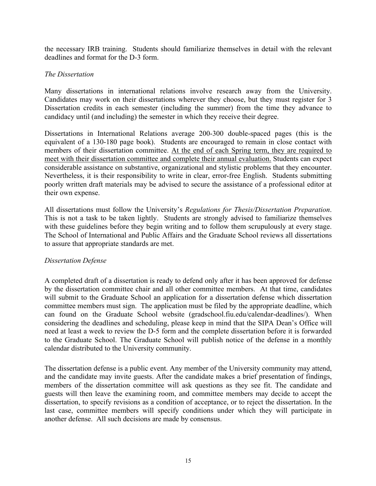the necessary IRB training. Students should familiarize themselves in detail with the relevant deadlines and format for the D-3 form.

#### *The Dissertation*

Many dissertations in international relations involve research away from the University. Candidates may work on their dissertations wherever they choose, but they must register for 3 Dissertation credits in each semester (including the summer) from the time they advance to candidacy until (and including) the semester in which they receive their degree.

Dissertations in International Relations average 200-300 double-spaced pages (this is the equivalent of a 130-180 page book). Students are encouraged to remain in close contact with members of their dissertation committee. At the end of each Spring term, they are required to meet with their dissertation committee and complete their annual evaluation. Students can expect considerable assistance on substantive, organizational and stylistic problems that they encounter. Nevertheless, it is their responsibility to write in clear, error-free English. Students submitting poorly written draft materials may be advised to secure the assistance of a professional editor at their own expense.

All dissertations must follow the University's *Regulations for Thesis/Dissertation Preparation*. This is not a task to be taken lightly. Students are strongly advised to familiarize themselves with these guidelines before they begin writing and to follow them scrupulously at every stage. The School of International and Public Affairs and the Graduate School reviews all dissertations to assure that appropriate standards are met.

## *Dissertation Defense*

A completed draft of a dissertation is ready to defend only after it has been approved for defense by the dissertation committee chair and all other committee members. At that time, candidates will submit to the Graduate School an application for a dissertation defense which dissertation committee members must sign. The application must be filed by the appropriate deadline, which can found on the Graduate School website (gradschool.fiu.edu/calendar-deadlines/). When considering the deadlines and scheduling, please keep in mind that the SIPA Dean's Office will need at least a week to review the D-5 form and the complete dissertation before it is forwarded to the Graduate School. The Graduate School will publish notice of the defense in a monthly calendar distributed to the University community.

The dissertation defense is a public event. Any member of the University community may attend, and the candidate may invite guests. After the candidate makes a brief presentation of findings, members of the dissertation committee will ask questions as they see fit. The candidate and guests will then leave the examining room, and committee members may decide to accept the dissertation, to specify revisions as a condition of acceptance, or to reject the dissertation. In the last case, committee members will specify conditions under which they will participate in another defense. All such decisions are made by consensus.